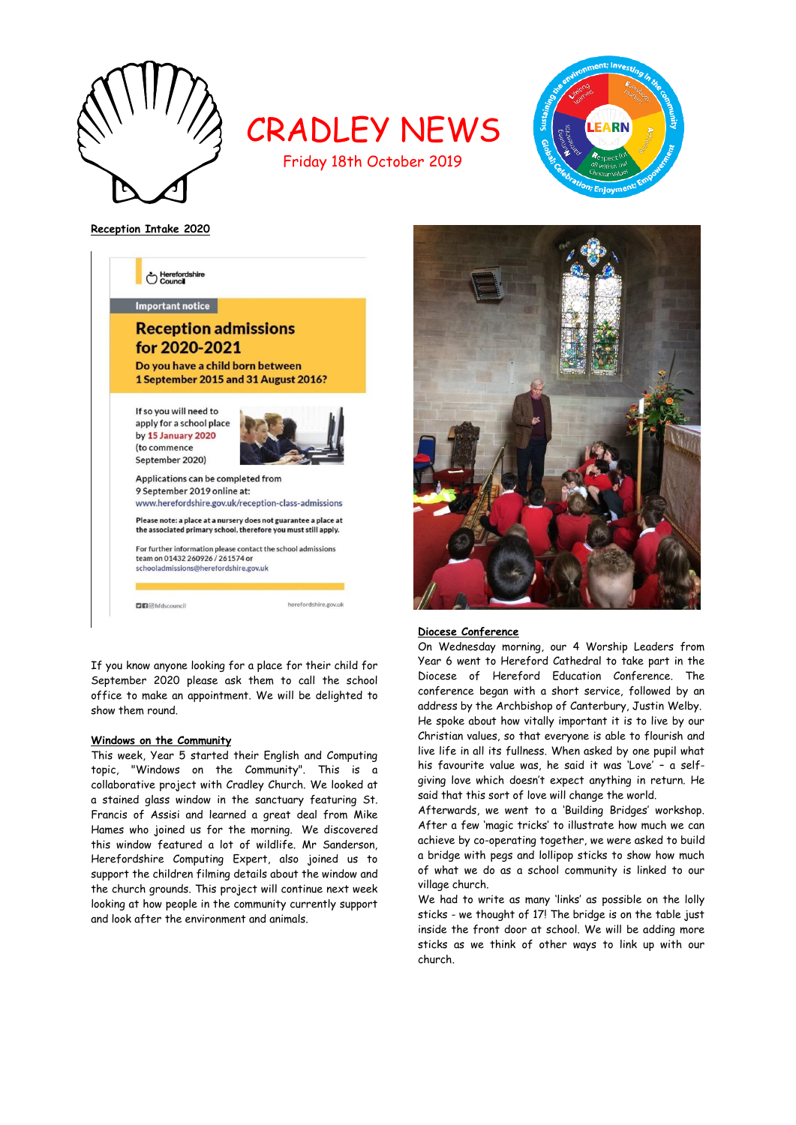

CRADLEY NEWS Friday 18th October 2019



**Reception Intake 2020**



If you know anyone looking for a place for their child for September 2020 please ask them to call the school office to make an appointment. We will be delighted to show them round.

## **Windows on the Community**

This week, Year 5 started their English and Computing topic, "Windows on the Community". This is a collaborative project with Cradley Church. We looked at a stained glass window in the sanctuary featuring St. Francis of Assisi and learned a great deal from Mike Hames who joined us for the morning. We discovered this window featured a lot of wildlife. Mr Sanderson, Herefordshire Computing Expert, also joined us to support the children filming details about the window and the church grounds. This project will continue next week looking at how people in the community currently support and look after the environment and animals.



## **Diocese Conference**

On Wednesday morning, our 4 Worship Leaders from Year 6 went to Hereford Cathedral to take part in the Diocese of Hereford Education Conference. The conference began with a short service, followed by an address by the Archbishop of Canterbury, Justin Welby. He spoke about how vitally important it is to live by our Christian values, so that everyone is able to flourish and live life in all its fullness. When asked by one pupil what his favourite value was, he said it was 'Love' – a selfgiving love which doesn't expect anything in return. He said that this sort of love will change the world.

Afterwards, we went to a 'Building Bridges' workshop. After a few 'magic tricks' to illustrate how much we can achieve by co-operating together, we were asked to build a bridge with pegs and lollipop sticks to show how much of what we do as a school community is linked to our village church.

We had to write as many 'links' as possible on the lolly sticks - we thought of 17! The bridge is on the table just inside the front door at school. We will be adding more sticks as we think of other ways to link up with our church.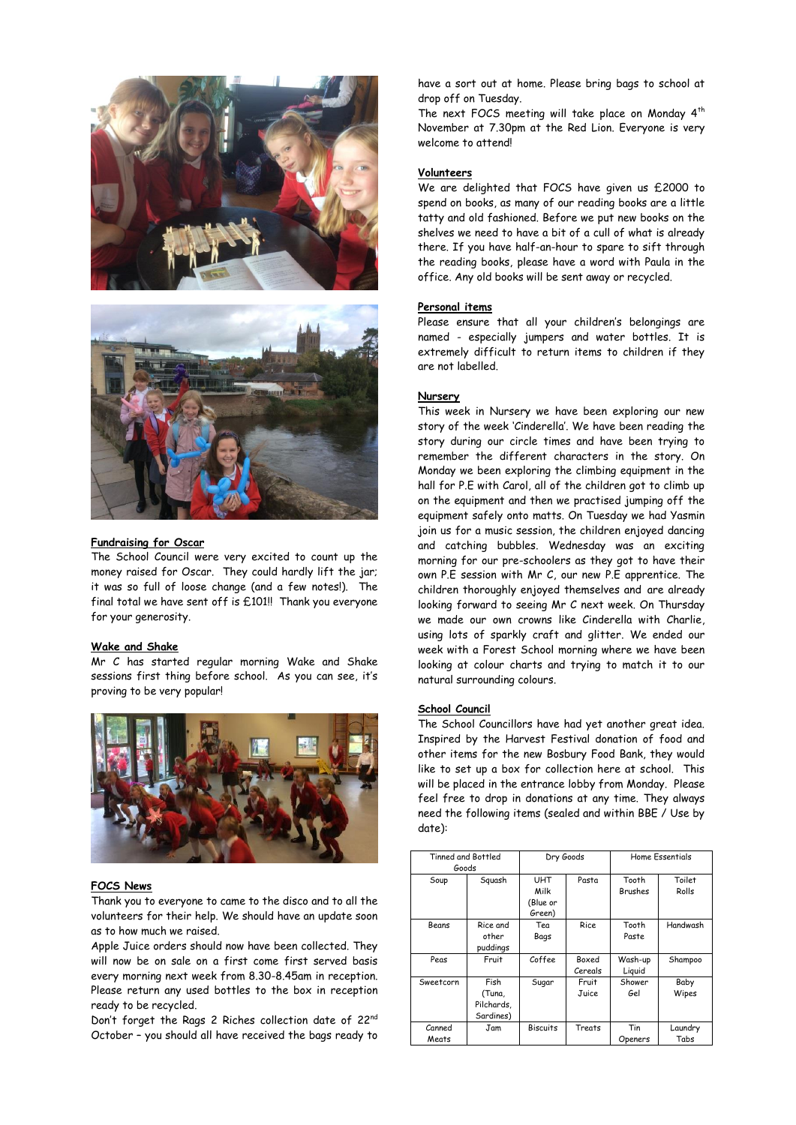



#### **Fundraising for Oscar**

The School Council were very excited to count up the money raised for Oscar. They could hardly lift the jar; it was so full of loose change (and a few notes!). The final total we have sent off is £101!! Thank you everyone for your generosity.

## **Wake and Shake**

Mr C has started regular morning Wake and Shake sessions first thing before school. As you can see, it's proving to be very popular!



#### **FOCS News**

Thank you to everyone to came to the disco and to all the volunteers for their help. We should have an update soon as to how much we raised.

Apple Juice orders should now have been collected. They will now be on sale on a first come first served basis every morning next week from 8.30-8.45am in reception. Please return any used bottles to the box in reception ready to be recycled.

Don't forget the Rags 2 Riches collection date of 22<sup>nd</sup> October – you should all have received the bags ready to have a sort out at home. Please bring bags to school at drop off on Tuesday.

The next FOCS meeting will take place on Monday 4<sup>th</sup> November at 7.30pm at the Red Lion. Everyone is very welcome to attend!

## **Volunteers**

We are delighted that FOCS have given us £2000 to spend on books, as many of our reading books are a little tatty and old fashioned. Before we put new books on the shelves we need to have a bit of a cull of what is already there. If you have half-an-hour to spare to sift through the reading books, please have a word with Paula in the office. Any old books will be sent away or recycled.

#### **Personal items**

Please ensure that all your children's belongings are named - especially jumpers and water bottles. It is extremely difficult to return items to children if they are not labelled.

#### **Nursery**

This week in Nursery we have been exploring our new story of the week 'Cinderella'. We have been reading the story during our circle times and have been trying to remember the different characters in the story. On Monday we been exploring the climbing equipment in the hall for P.E with Carol, all of the children got to climb up on the equipment and then we practised jumping off the equipment safely onto matts. On Tuesday we had Yasmin join us for a music session, the children enjoyed dancing and catching bubbles. Wednesday was an exciting morning for our pre-schoolers as they got to have their own P.E session with Mr C, our new P.E apprentice. The children thoroughly enjoyed themselves and are already looking forward to seeing Mr C next week. On Thursday we made our own crowns like Cinderella with Charlie, using lots of sparkly craft and glitter. We ended our week with a Forest School morning where we have been looking at colour charts and trying to match it to our natural surrounding colours.

#### **School Council**

The School Councillors have had yet another great idea. Inspired by the Harvest Festival donation of food and other items for the new Bosbury Food Bank, they would like to set up a box for collection here at school. This will be placed in the entrance lobby from Monday. Please feel free to drop in donations at any time. They always need the following items (sealed and within BBE / Use by date):

| Tinned and Bottled<br>Goods |                                           | Dry Goods                                |                         | Home Essentials         |                 |
|-----------------------------|-------------------------------------------|------------------------------------------|-------------------------|-------------------------|-----------------|
| Soup                        | Squash                                    | <b>UHT</b><br>Milk<br>(Blue or<br>Green) | Pasta                   | Tooth<br><b>Brushes</b> | Toilet<br>Rolls |
| Beans                       | Rice and<br>other<br>puddings             | Tea<br>Bags                              | <b>Rice</b>             | Tooth<br>Paste          | Handwash        |
| Peas                        | Fruit                                     | Coffee                                   | <b>Boxed</b><br>Cereals | Wash-up<br>Liquid       | Shampoo         |
| Sweetcorn                   | Fish<br>(Tuna,<br>Pilchards.<br>Sardines) | Sugar                                    | Fruit<br>Juice          | Shower<br>Gel           | Baby<br>Wipes   |
| Canned<br>Meats             | Jam                                       | <b>Biscuits</b>                          | Treats                  | Tin<br>Openers          | Laundry<br>Tabs |